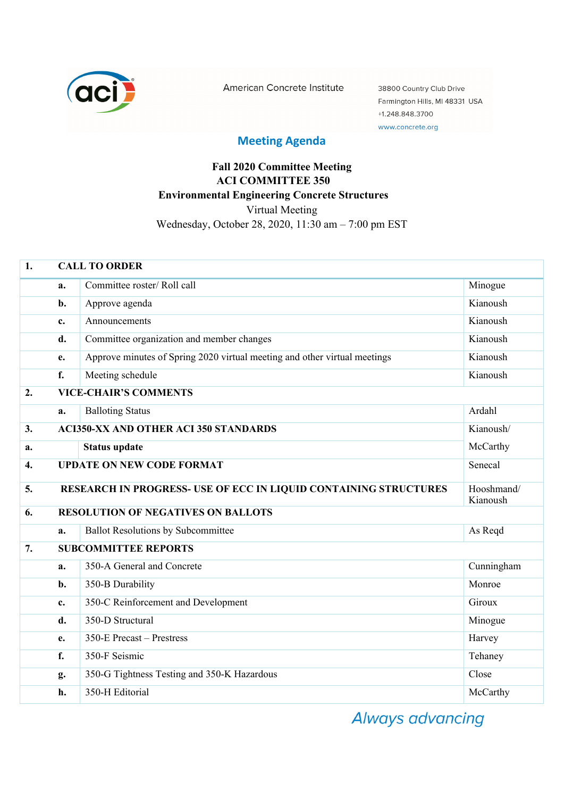

American Concrete Institute

38800 Country Club Drive Farmington Hills, MI 48331 USA +1.248.848.3700 www.concrete.org

## **Meeting Agenda**

## **Fall 2020 Committee Meeting ACI COMMITTEE 350 Environmental Engineering Concrete Structures**  Virtual Meeting Wednesday, October 28, 2020, 11:30 am – 7:00 pm EST

| 1.                 | <b>CALL TO ORDER</b>                                                                       |                                                                           |            |  |  |
|--------------------|--------------------------------------------------------------------------------------------|---------------------------------------------------------------------------|------------|--|--|
|                    | a.                                                                                         | Committee roster/ Roll call                                               | Minogue    |  |  |
|                    | b.                                                                                         | Approve agenda                                                            | Kianoush   |  |  |
|                    | c.                                                                                         | Announcements                                                             | Kianoush   |  |  |
|                    | d.                                                                                         | Committee organization and member changes                                 | Kianoush   |  |  |
|                    | e.                                                                                         | Approve minutes of Spring 2020 virtual meeting and other virtual meetings | Kianoush   |  |  |
|                    | $f_{\cdot}$                                                                                | Meeting schedule                                                          | Kianoush   |  |  |
| 2.                 | <b>VICE-CHAIR'S COMMENTS</b>                                                               |                                                                           |            |  |  |
|                    | a.                                                                                         | <b>Balloting Status</b>                                                   | Ardahl     |  |  |
| 3.                 | <b>ACI350-XX AND OTHER ACI 350 STANDARDS</b><br>Kianoush/                                  |                                                                           |            |  |  |
| a.                 |                                                                                            | <b>Status update</b>                                                      | McCarthy   |  |  |
| $\boldsymbol{4}$ . | <b>UPDATE ON NEW CODE FORMAT</b><br>Senecal                                                |                                                                           |            |  |  |
| 5.                 | RESEARCH IN PROGRESS- USE OF ECC IN LIQUID CONTAINING STRUCTURES<br>Hooshmand/<br>Kianoush |                                                                           |            |  |  |
| 6.                 | <b>RESOLUTION OF NEGATIVES ON BALLOTS</b>                                                  |                                                                           |            |  |  |
|                    | a.                                                                                         | <b>Ballot Resolutions by Subcommittee</b>                                 | As Reqd    |  |  |
| 7.                 | <b>SUBCOMMITTEE REPORTS</b>                                                                |                                                                           |            |  |  |
|                    | a.                                                                                         | 350-A General and Concrete                                                | Cunningham |  |  |
|                    | b.                                                                                         | 350-B Durability                                                          | Monroe     |  |  |
|                    | c.                                                                                         | 350-C Reinforcement and Development                                       | Giroux     |  |  |
|                    | d.                                                                                         | 350-D Structural                                                          | Minogue    |  |  |
|                    | e.                                                                                         | 350-E Precast – Prestress                                                 | Harvey     |  |  |
|                    | f.                                                                                         | 350-F Seismic                                                             | Tehaney    |  |  |
|                    | g.                                                                                         | 350-G Tightness Testing and 350-K Hazardous                               | Close      |  |  |
|                    | h.                                                                                         | 350-H Editorial                                                           | McCarthy   |  |  |

Always advancing